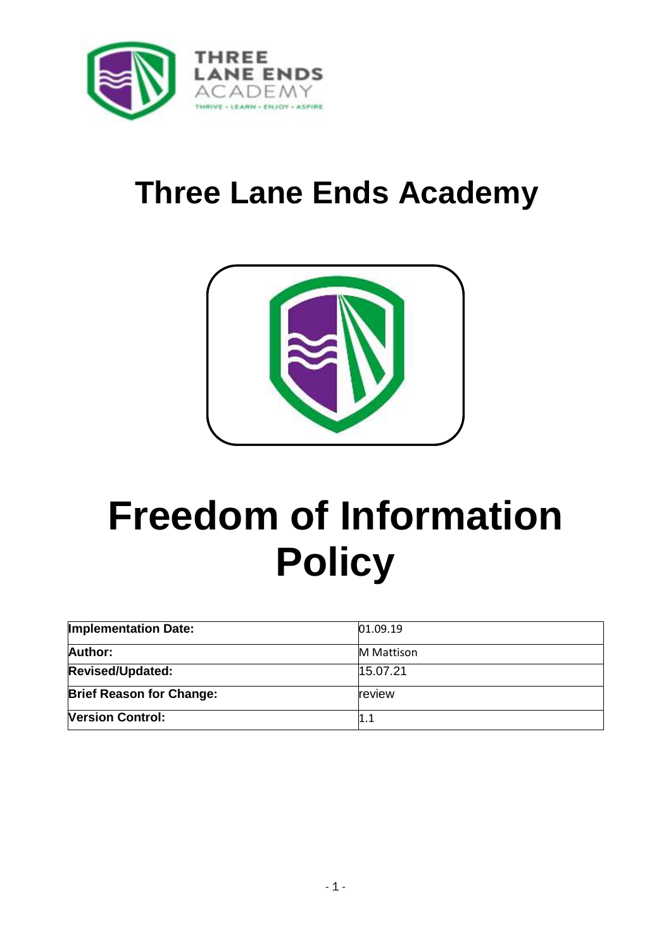

## **Three Lane Ends Academy**



# **Freedom of Information Policy**

| <b>Implementation Date:</b>     | 01.09.19          |
|---------------------------------|-------------------|
| <b>Author:</b>                  | <b>M</b> Mattison |
| <b>Revised/Updated:</b>         | 15.07.21          |
| <b>Brief Reason for Change:</b> | review            |
| <b>Version Control:</b>         |                   |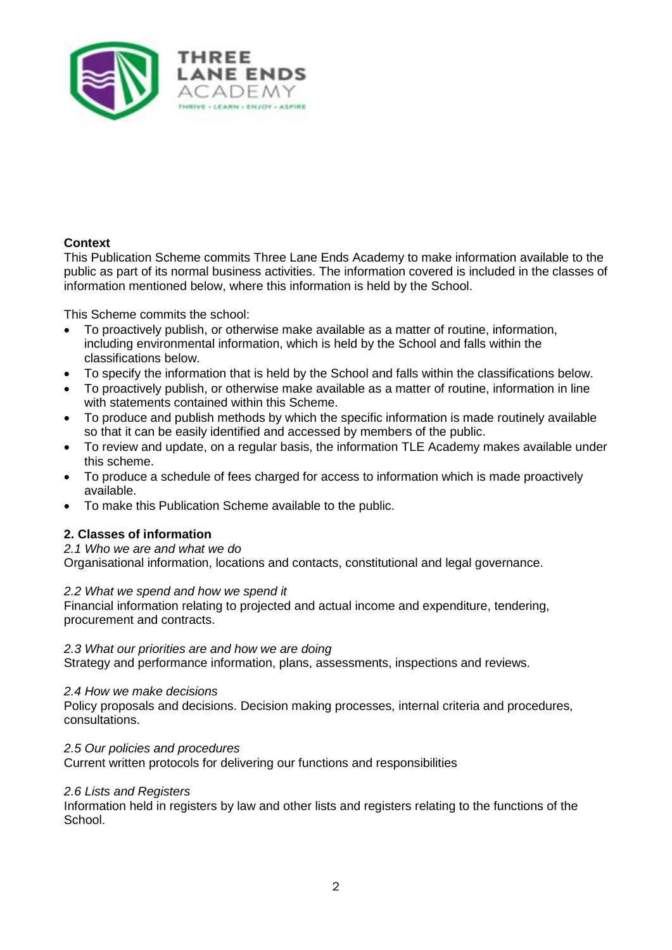

#### **Context**

This Publication Scheme commits Three Lane Ends Academy to make information available to the public as part of its normal business activities. The information covered is included in the classes of information mentioned below, where this information is held by the School.

This Scheme commits the school:

- To proactively publish, or otherwise make available as a matter of routine, information, including environmental information, which is held by the School and falls within the classifications below.
- To specify the information that is held by the School and falls within the classifications below.
- To proactively publish, or otherwise make available as a matter of routine, information in line with statements contained within this Scheme.
- To produce and publish methods by which the specific information is made routinely available so that it can be easily identified and accessed by members of the public.
- To review and update, on a regular basis, the information TLE Academy makes available under this scheme.
- To produce a schedule of fees charged for access to information which is made proactively available.
- To make this Publication Scheme available to the public.

#### **2. Classes of information**

*2.1 Who we are and what we do* 

Organisational information, locations and contacts, constitutional and legal governance.

#### *2.2 What we spend and how we spend it*

Financial information relating to projected and actual income and expenditure, tendering, procurement and contracts.

#### *2.3 What our priorities are and how we are doing*

Strategy and performance information, plans, assessments, inspections and reviews.

#### *2.4 How we make decisions*

Policy proposals and decisions. Decision making processes, internal criteria and procedures, consultations.

*2.5 Our policies and procedures* 

Current written protocols for delivering our functions and responsibilities

#### *2.6 Lists and Registers*

Information held in registers by law and other lists and registers relating to the functions of the School.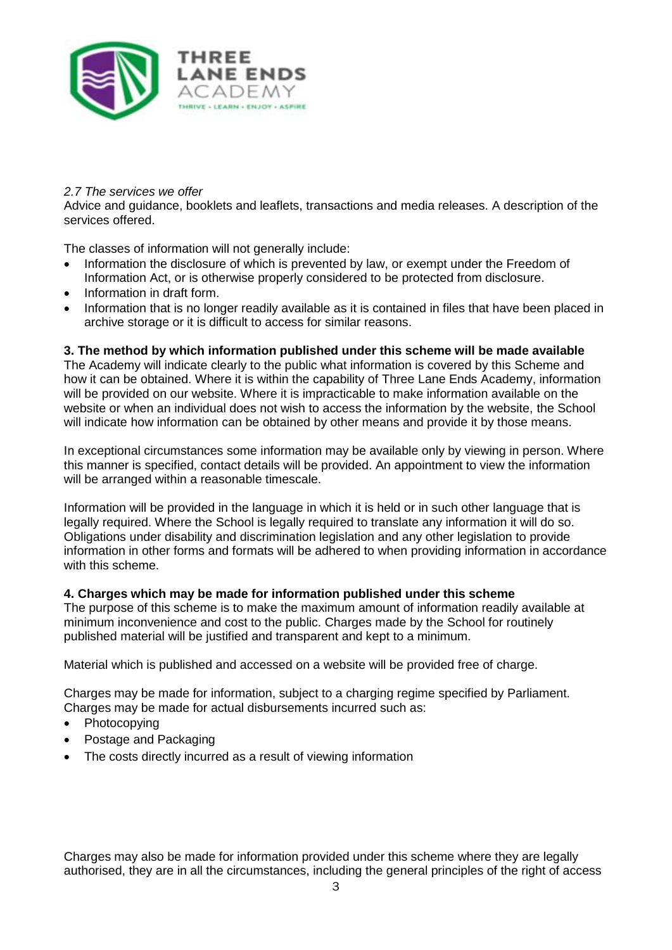

#### *2.7 The services we offer*

Advice and guidance, booklets and leaflets, transactions and media releases. A description of the services offered.

The classes of information will not generally include:

- Information the disclosure of which is prevented by law, or exempt under the Freedom of Information Act, or is otherwise properly considered to be protected from disclosure.
- Information in draft form.
- Information that is no longer readily available as it is contained in files that have been placed in archive storage or it is difficult to access for similar reasons.

#### **3. The method by which information published under this scheme will be made available**

The Academy will indicate clearly to the public what information is covered by this Scheme and how it can be obtained. Where it is within the capability of Three Lane Ends Academy, information will be provided on our website. Where it is impracticable to make information available on the website or when an individual does not wish to access the information by the website, the School will indicate how information can be obtained by other means and provide it by those means.

In exceptional circumstances some information may be available only by viewing in person. Where this manner is specified, contact details will be provided. An appointment to view the information will be arranged within a reasonable timescale.

Information will be provided in the language in which it is held or in such other language that is legally required. Where the School is legally required to translate any information it will do so. Obligations under disability and discrimination legislation and any other legislation to provide information in other forms and formats will be adhered to when providing information in accordance with this scheme.

#### **4. Charges which may be made for information published under this scheme**

The purpose of this scheme is to make the maximum amount of information readily available at minimum inconvenience and cost to the public. Charges made by the School for routinely published material will be justified and transparent and kept to a minimum.

Material which is published and accessed on a website will be provided free of charge.

Charges may be made for information, subject to a charging regime specified by Parliament. Charges may be made for actual disbursements incurred such as:

- Photocopying
- Postage and Packaging
- The costs directly incurred as a result of viewing information

Charges may also be made for information provided under this scheme where they are legally authorised, they are in all the circumstances, including the general principles of the right of access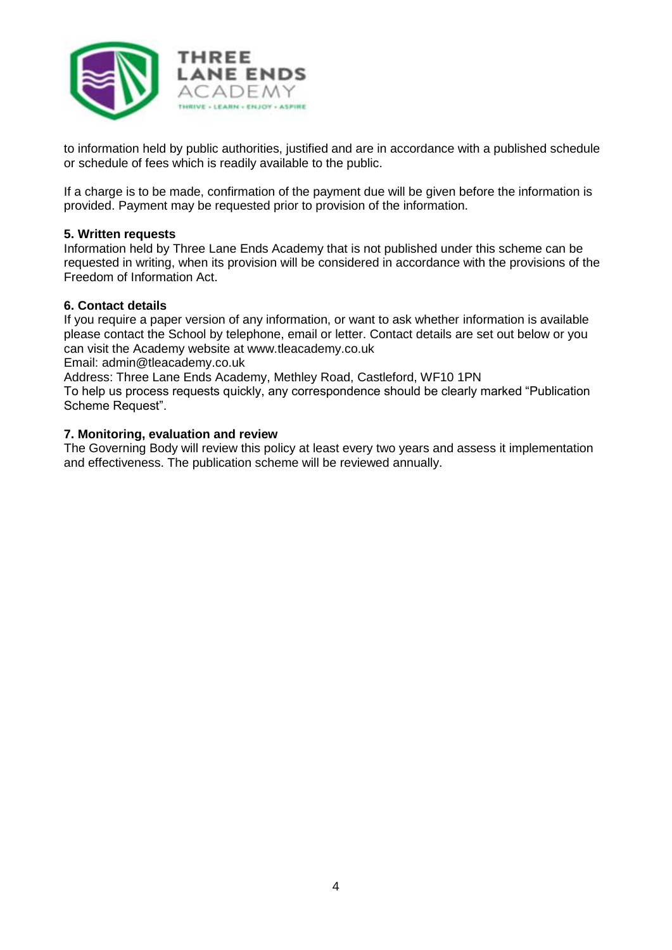

to information held by public authorities, justified and are in accordance with a published schedule or schedule of fees which is readily available to the public.

If a charge is to be made, confirmation of the payment due will be given before the information is provided. Payment may be requested prior to provision of the information.

#### **5. Written requests**

Information held by Three Lane Ends Academy that is not published under this scheme can be requested in writing, when its provision will be considered in accordance with the provisions of the Freedom of Information Act.

#### **6. Contact details**

If you require a paper version of any information, or want to ask whether information is available please contact the School by telephone, email or letter. Contact details are set out below or you can visit the Academy website at www.tleacademy.co.uk

Email: admin@tleacademy.co.uk

Address: Three Lane Ends Academy, Methley Road, Castleford, WF10 1PN

To help us process requests quickly, any correspondence should be clearly marked "Publication Scheme Request".

#### **7. Monitoring, evaluation and review**

The Governing Body will review this policy at least every two years and assess it implementation and effectiveness. The publication scheme will be reviewed annually.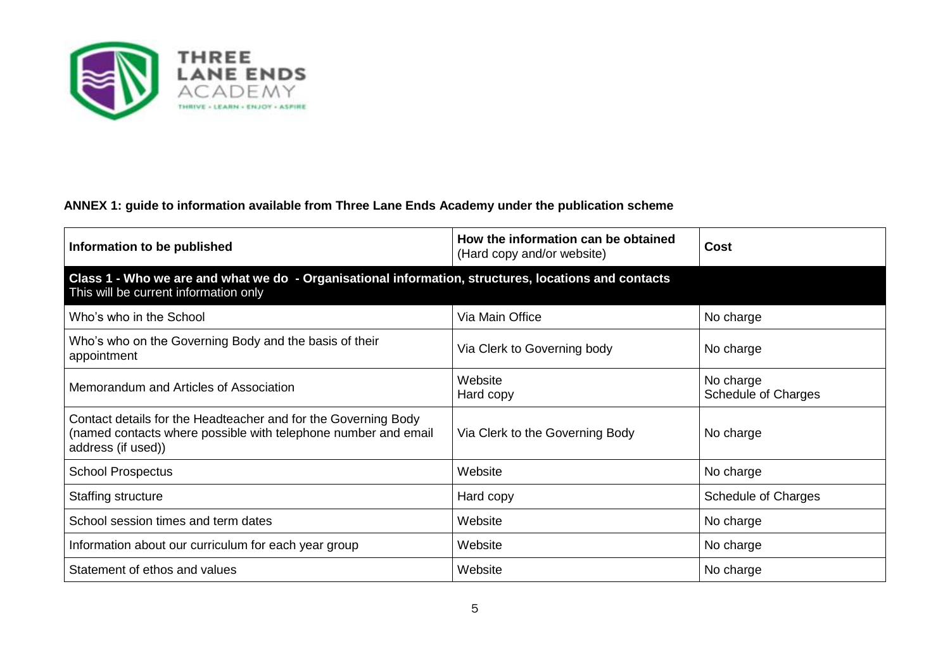

### **ANNEX 1: guide to information available from Three Lane Ends Academy under the publication scheme**

| Information to be published                                                                                                                            | How the information can be obtained<br>(Hard copy and/or website) | Cost                                    |
|--------------------------------------------------------------------------------------------------------------------------------------------------------|-------------------------------------------------------------------|-----------------------------------------|
| Class 1 - Who we are and what we do - Organisational information, structures, locations and contacts<br>This will be current information only          |                                                                   |                                         |
| Who's who in the School                                                                                                                                | Via Main Office                                                   | No charge                               |
| Who's who on the Governing Body and the basis of their<br>appointment                                                                                  | Via Clerk to Governing body                                       | No charge                               |
| Memorandum and Articles of Association                                                                                                                 | Website<br>Hard copy                                              | No charge<br><b>Schedule of Charges</b> |
| Contact details for the Headteacher and for the Governing Body<br>(named contacts where possible with telephone number and email<br>address (if used)) | Via Clerk to the Governing Body                                   | No charge                               |
| <b>School Prospectus</b>                                                                                                                               | Website                                                           | No charge                               |
| <b>Staffing structure</b>                                                                                                                              | Hard copy                                                         | Schedule of Charges                     |
| School session times and term dates                                                                                                                    | Website                                                           | No charge                               |
| Information about our curriculum for each year group                                                                                                   | Website                                                           | No charge                               |
| Statement of ethos and values                                                                                                                          | Website                                                           | No charge                               |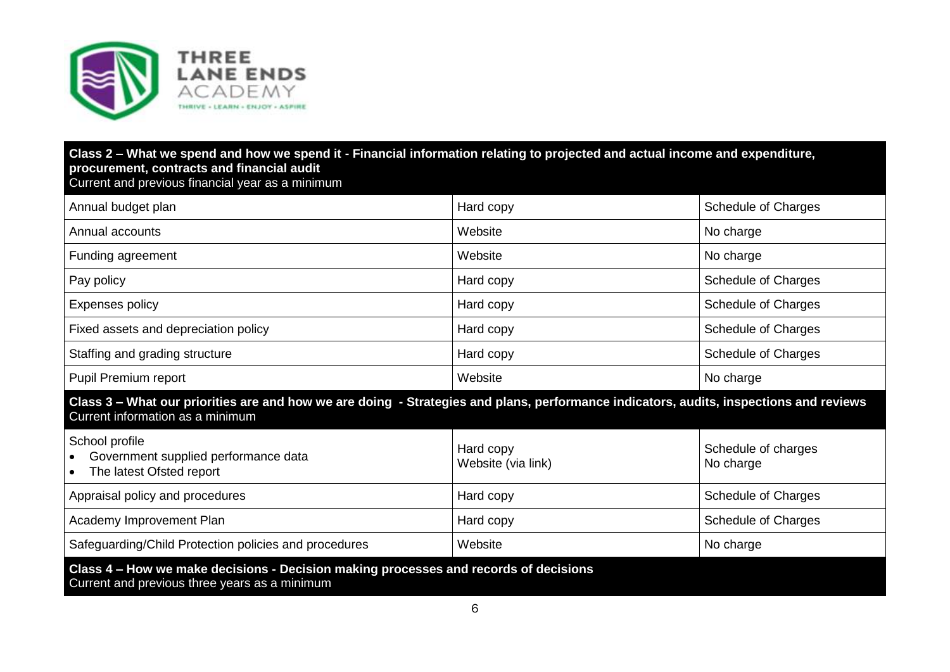

#### **Class 2 – What we spend and how we spend it - Financial information relating to projected and actual income and expenditure, procurement, contracts and financial audit**  Current and previous financial year as a minimum

| Annual budget plan                                                                                                                                                         | Hard copy                       | <b>Schedule of Charges</b>       |
|----------------------------------------------------------------------------------------------------------------------------------------------------------------------------|---------------------------------|----------------------------------|
| Annual accounts                                                                                                                                                            | Website                         | No charge                        |
| Funding agreement                                                                                                                                                          | Website                         | No charge                        |
| Pay policy                                                                                                                                                                 | Hard copy                       | <b>Schedule of Charges</b>       |
| <b>Expenses policy</b>                                                                                                                                                     | Hard copy                       | Schedule of Charges              |
| Fixed assets and depreciation policy                                                                                                                                       | Hard copy                       | Schedule of Charges              |
| Staffing and grading structure                                                                                                                                             | Hard copy                       | Schedule of Charges              |
| Pupil Premium report                                                                                                                                                       | Website                         | No charge                        |
| Class 3 - What our priorities are and how we are doing - Strategies and plans, performance indicators, audits, inspections and reviews<br>Current information as a minimum |                                 |                                  |
| School profile<br>Government supplied performance data<br>The latest Ofsted report<br>$\bullet$                                                                            | Hard copy<br>Website (via link) | Schedule of charges<br>No charge |
| Appraisal policy and procedures                                                                                                                                            | Hard copy                       | <b>Schedule of Charges</b>       |
| Academy Improvement Plan                                                                                                                                                   |                                 |                                  |
|                                                                                                                                                                            | Hard copy                       | Schedule of Charges              |
| Safeguarding/Child Protection policies and procedures                                                                                                                      | Website                         | No charge                        |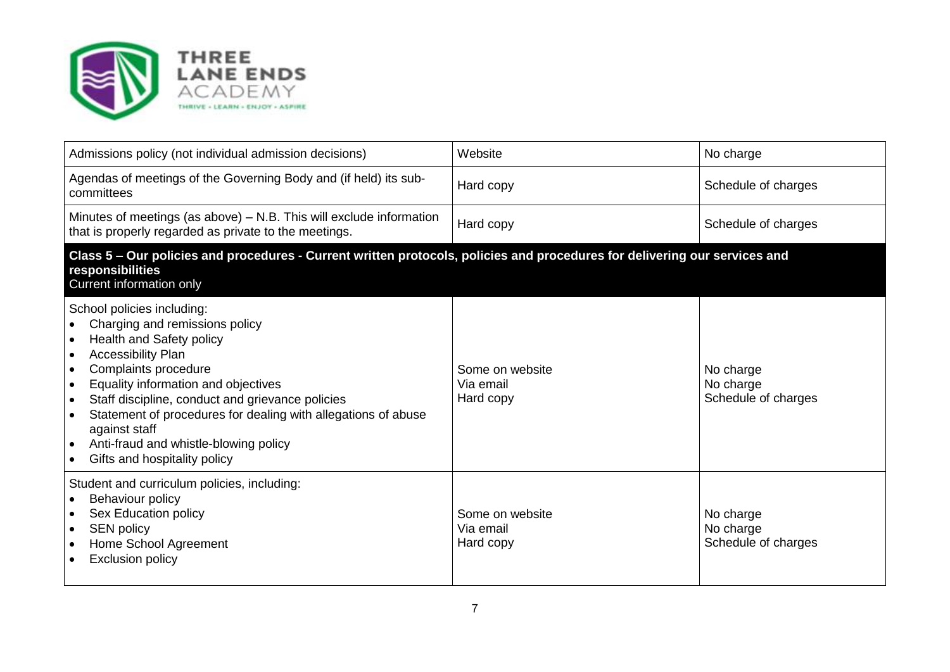

| Admissions policy (not individual admission decisions)                                                                                                                                                                                                                                                                                                                                                                                           | Website                                   | No charge                                     |
|--------------------------------------------------------------------------------------------------------------------------------------------------------------------------------------------------------------------------------------------------------------------------------------------------------------------------------------------------------------------------------------------------------------------------------------------------|-------------------------------------------|-----------------------------------------------|
| Agendas of meetings of the Governing Body and (if held) its sub-<br>committees                                                                                                                                                                                                                                                                                                                                                                   | Hard copy                                 | Schedule of charges                           |
| Minutes of meetings (as above) – N.B. This will exclude information<br>that is properly regarded as private to the meetings.                                                                                                                                                                                                                                                                                                                     | Hard copy                                 | Schedule of charges                           |
| Class 5 - Our policies and procedures - Current written protocols, policies and procedures for delivering our services and<br>responsibilities<br>Current information only                                                                                                                                                                                                                                                                       |                                           |                                               |
| School policies including:<br>Charging and remissions policy<br>Health and Safety policy<br>Accessibility Plan<br>Complaints procedure<br>$\bullet$<br>Equality information and objectives<br>$\bullet$<br>Staff discipline, conduct and grievance policies<br>$\bullet$<br>Statement of procedures for dealing with allegations of abuse<br>against staff<br>Anti-fraud and whistle-blowing policy<br>$\bullet$<br>Gifts and hospitality policy | Some on website<br>Via email<br>Hard copy | No charge<br>No charge<br>Schedule of charges |
| Student and curriculum policies, including:<br>Behaviour policy<br>$\bullet$<br>Sex Education policy<br>$\bullet$<br><b>SEN policy</b><br>$\bullet$<br>Home School Agreement<br>$\bullet$<br><b>Exclusion policy</b>                                                                                                                                                                                                                             | Some on website<br>Via email<br>Hard copy | No charge<br>No charge<br>Schedule of charges |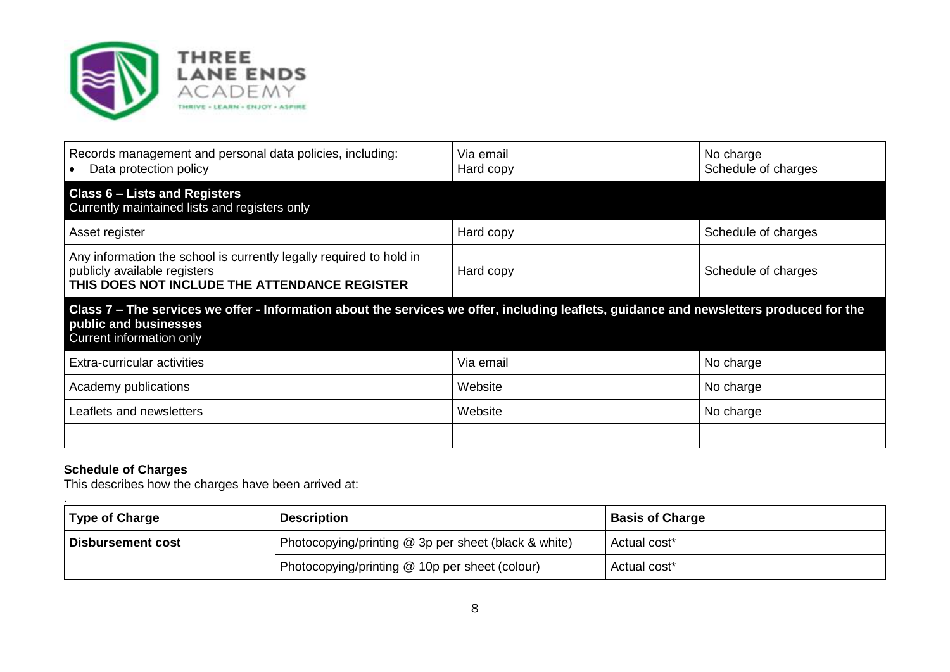

| Records management and personal data policies, including:<br>Data protection policy                                                                  | Via email<br>Hard copy                                                                                                                                                                        | No charge<br>Schedule of charges |  |
|------------------------------------------------------------------------------------------------------------------------------------------------------|-----------------------------------------------------------------------------------------------------------------------------------------------------------------------------------------------|----------------------------------|--|
| <b>Class 6 - Lists and Registers</b><br>Currently maintained lists and registers only                                                                |                                                                                                                                                                                               |                                  |  |
| Asset register                                                                                                                                       | Hard copy                                                                                                                                                                                     | Schedule of charges              |  |
| Any information the school is currently legally required to hold in<br>publicly available registers<br>THIS DOES NOT INCLUDE THE ATTENDANCE REGISTER | Hard copy                                                                                                                                                                                     | Schedule of charges              |  |
|                                                                                                                                                      | Class 7 – The services we offer - Information about the services we offer, including leaflets, guidance and newsletters produced for the<br>public and businesses<br>Current information only |                                  |  |
|                                                                                                                                                      |                                                                                                                                                                                               |                                  |  |
| Extra-curricular activities                                                                                                                          | Via email                                                                                                                                                                                     | No charge                        |  |
| Academy publications                                                                                                                                 | Website                                                                                                                                                                                       | No charge                        |  |
| Leaflets and newsletters                                                                                                                             | Website                                                                                                                                                                                       | No charge                        |  |

#### **Schedule of Charges**

This describes how the charges have been arrived at:

| <b>Type of Charge</b> | <b>Description</b>                                   | <b>Basis of Charge</b>   |
|-----------------------|------------------------------------------------------|--------------------------|
| Disbursement cost     | Photocopying/printing @ 3p per sheet (black & white) | Actual cost <sup>*</sup> |
|                       | Photocopying/printing @ 10p per sheet (colour)       | Actual cost*             |